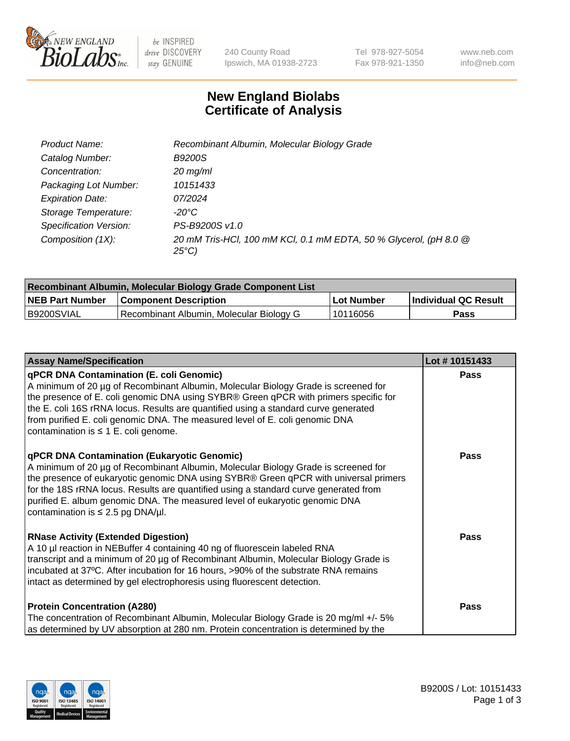

be INSPIRED drive DISCOVERY stay GENUINE

240 County Road Ipswich, MA 01938-2723 Tel 978-927-5054 Fax 978-921-1350 www.neb.com info@neb.com

## **New England Biolabs Certificate of Analysis**

| Product Name:           | Recombinant Albumin, Molecular Biology Grade                                       |
|-------------------------|------------------------------------------------------------------------------------|
| Catalog Number:         | <b>B9200S</b>                                                                      |
| Concentration:          | $20$ mg/ml                                                                         |
| Packaging Lot Number:   | 10151433                                                                           |
| <b>Expiration Date:</b> | 07/2024                                                                            |
| Storage Temperature:    | -20°C                                                                              |
| Specification Version:  | PS-B9200S v1.0                                                                     |
| Composition (1X):       | 20 mM Tris-HCl, 100 mM KCl, 0.1 mM EDTA, 50 % Glycerol, (pH 8.0 @<br>$25^{\circ}C$ |

| Recombinant Albumin, Molecular Biology Grade Component List |                                          |            |                      |  |
|-------------------------------------------------------------|------------------------------------------|------------|----------------------|--|
| <b>NEB Part Number</b>                                      | <b>Component Description</b>             | Lot Number | Individual QC Result |  |
| B9200SVIAL                                                  | Recombinant Albumin, Molecular Biology G | 10116056   | <b>Pass</b>          |  |

| <b>Assay Name/Specification</b>                                                                                                                                                                                                                                                                                                                                                                                                                   | Lot #10151433 |
|---------------------------------------------------------------------------------------------------------------------------------------------------------------------------------------------------------------------------------------------------------------------------------------------------------------------------------------------------------------------------------------------------------------------------------------------------|---------------|
| <b>qPCR DNA Contamination (E. coli Genomic)</b><br>A minimum of 20 µg of Recombinant Albumin, Molecular Biology Grade is screened for<br>the presence of E. coli genomic DNA using SYBR® Green qPCR with primers specific for<br>the E. coli 16S rRNA locus. Results are quantified using a standard curve generated<br>from purified E. coli genomic DNA. The measured level of E. coli genomic DNA<br>contamination is $\leq 1$ E. coli genome. | <b>Pass</b>   |
| <b>qPCR DNA Contamination (Eukaryotic Genomic)</b><br>A minimum of 20 µg of Recombinant Albumin, Molecular Biology Grade is screened for<br>the presence of eukaryotic genomic DNA using SYBR® Green qPCR with universal primers<br>for the 18S rRNA locus. Results are quantified using a standard curve generated from<br>purified E. album genomic DNA. The measured level of eukaryotic genomic DNA<br>contamination is $\leq$ 2.5 pg DNA/µl. | Pass          |
| <b>RNase Activity (Extended Digestion)</b><br>A 10 µl reaction in NEBuffer 4 containing 40 ng of fluorescein labeled RNA<br>transcript and a minimum of 20 µg of Recombinant Albumin, Molecular Biology Grade is<br>incubated at 37°C. After incubation for 16 hours, >90% of the substrate RNA remains<br>intact as determined by gel electrophoresis using fluorescent detection.                                                               | Pass          |
| <b>Protein Concentration (A280)</b><br>The concentration of Recombinant Albumin, Molecular Biology Grade is 20 mg/ml +/- 5%<br>as determined by UV absorption at 280 nm. Protein concentration is determined by the                                                                                                                                                                                                                               | <b>Pass</b>   |

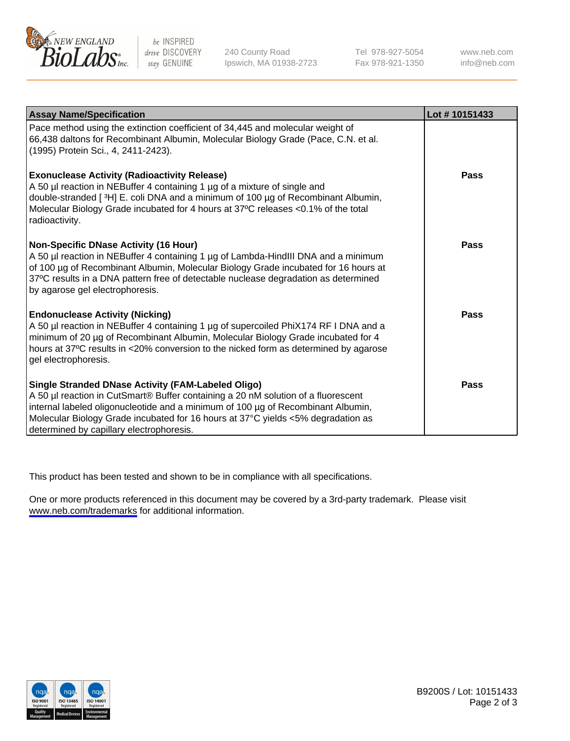

be INSPIRED drive DISCOVERY stay GENUINE

240 County Road Ipswich, MA 01938-2723 Tel 978-927-5054 Fax 978-921-1350

www.neb.com info@neb.com

| <b>Assay Name/Specification</b>                                                                                                                                                                                                                                                                                                                                    | Lot #10151433 |
|--------------------------------------------------------------------------------------------------------------------------------------------------------------------------------------------------------------------------------------------------------------------------------------------------------------------------------------------------------------------|---------------|
| Pace method using the extinction coefficient of 34,445 and molecular weight of<br>66,438 daltons for Recombinant Albumin, Molecular Biology Grade (Pace, C.N. et al.<br>(1995) Protein Sci., 4, 2411-2423).                                                                                                                                                        |               |
| <b>Exonuclease Activity (Radioactivity Release)</b><br>A 50 µl reaction in NEBuffer 4 containing 1 µg of a mixture of single and<br>double-stranded [3H] E. coli DNA and a minimum of 100 µg of Recombinant Albumin,<br>Molecular Biology Grade incubated for 4 hours at 37°C releases <0.1% of the total<br>radioactivity.                                        | <b>Pass</b>   |
| <b>Non-Specific DNase Activity (16 Hour)</b><br>A 50 µl reaction in NEBuffer 4 containing 1 µg of Lambda-HindIII DNA and a minimum<br>of 100 µg of Recombinant Albumin, Molecular Biology Grade incubated for 16 hours at<br>37°C results in a DNA pattern free of detectable nuclease degradation as determined<br>by agarose gel electrophoresis.                | <b>Pass</b>   |
| <b>Endonuclease Activity (Nicking)</b><br>A 50 µl reaction in NEBuffer 4 containing 1 µg of supercoiled PhiX174 RF I DNA and a<br>minimum of 20 µg of Recombinant Albumin, Molecular Biology Grade incubated for 4<br>hours at 37°C results in <20% conversion to the nicked form as determined by agarose<br>gel electrophoresis.                                 | Pass          |
| <b>Single Stranded DNase Activity (FAM-Labeled Oligo)</b><br>A 50 µl reaction in CutSmart® Buffer containing a 20 nM solution of a fluorescent<br>internal labeled oligonucleotide and a minimum of 100 µg of Recombinant Albumin,<br>Molecular Biology Grade incubated for 16 hours at 37°C yields <5% degradation as<br>determined by capillary electrophoresis. | <b>Pass</b>   |

This product has been tested and shown to be in compliance with all specifications.

One or more products referenced in this document may be covered by a 3rd-party trademark. Please visit <www.neb.com/trademarks>for additional information.